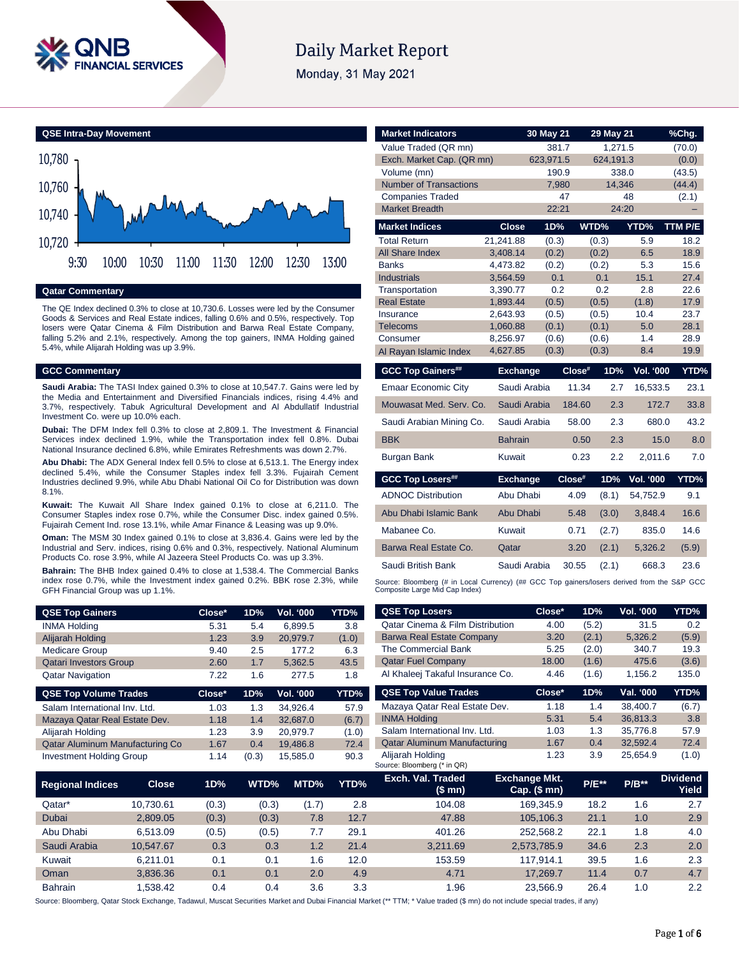

# **Daily Market Report**

Monday, 31 May 2021



### **Qatar Commentary**

The QE Index declined 0.3% to close at 10,730.6. Losses were led by the Consumer Goods & Services and Real Estate indices, falling 0.6% and 0.5%, respectively. Top losers were Qatar Cinema & Film Distribution and Barwa Real Estate Company, falling 5.2% and 2.1%, respectively. Among the top gainers, INMA Holding gained 5.4%, while Alijarah Holding was up 3.9%.

### **GCC Commentary**

**Saudi Arabia:** The TASI Index gained 0.3% to close at 10,547.7. Gains were led by the Media and Entertainment and Diversified Financials indices, rising 4.4% and 3.7%, respectively. Tabuk Agricultural Development and Al Abdullatif Industrial Investment Co. were up 10.0% each.

**Dubai:** The DFM Index fell 0.3% to close at 2,809.1. The Investment & Financial Services index declined 1.9%, while the Transportation index fell 0.8%. Dubai National Insurance declined 6.8%, while Emirates Refreshments was down 2.7%.

**Abu Dhabi:** The ADX General Index fell 0.5% to close at 6,513.1. The Energy index declined 5.4%, while the Consumer Staples index fell 3.3%. Fujairah Cement Industries declined 9.9%, while Abu Dhabi National Oil Co for Distribution was down 8.1%.

**Kuwait:** The Kuwait All Share Index gained 0.1% to close at 6,211.0. The Consumer Staples index rose 0.7%, while the Consumer Disc. index gained 0.5%. Fujairah Cement Ind. rose 13.1%, while Amar Finance & Leasing was up 9.0%.

**Oman:** The MSM 30 Index gained 0.1% to close at 3,836.4. Gains were led by the Industrial and Serv. indices, rising 0.6% and 0.3%, respectively. National Aluminum Products Co. rose 3.9%, while Al Jazeera Steel Products Co. was up 3.3%.

**Bahrain:** The BHB Index gained 0.4% to close at 1,538.4. The Commercial Banks index rose 0.7%, while the Investment index gained 0.2%. BBK rose 2.3%, while GFH Financial Group was up 1.1%.

| <b>QSE Top Gainers</b>          | Close* | 1D% | Vol. '000 | YTD%  |
|---------------------------------|--------|-----|-----------|-------|
| <b>INMA Holding</b>             | 5.31   | 5.4 | 6,899.5   | 3.8   |
| Alijarah Holding                | 1.23   | 3.9 | 20,979.7  | (1.0) |
| <b>Medicare Group</b>           | 9.40   | 2.5 | 177.2     | 6.3   |
| <b>Qatari Investors Group</b>   | 2.60   | 1.7 | 5.362.5   | 43.5  |
| <b>Qatar Navigation</b>         | 7.22   | 1.6 | 277.5     | 1.8   |
|                                 |        |     |           |       |
| <b>QSE Top Volume Trades</b>    | Close* | 1D% | Vol. '000 | YTD%  |
| Salam International Inv. Ltd.   | 1.03   | 1.3 | 34.926.4  | 57.9  |
| Mazaya Qatar Real Estate Dev.   | 1.18   | 1.4 | 32,687.0  | (6.7) |
| Alijarah Holding                | 1.23   | 3.9 | 20,979.7  | (1.0) |
| Qatar Aluminum Manufacturing Co | 1.67   | 0.4 | 19,486.8  | 72.4  |

| <b>Market Indicators</b>      |                      | 30 May 21      |        | 29 May 21      |                  | %Chg.        |
|-------------------------------|----------------------|----------------|--------|----------------|------------------|--------------|
| Value Traded (QR mn)          |                      | 381.7          |        | 1,271.5        |                  | (70.0)       |
| Exch. Market Cap. (QR mn)     |                      | 623,971.5      |        | 624.191.3      |                  | (0.0)        |
| Volume (mn)                   |                      | 190.9          |        | 338.0          |                  | (43.5)       |
| <b>Number of Transactions</b> |                      | 7,980          |        | 14,346         |                  | (44.4)       |
| <b>Companies Traded</b>       |                      |                | 47     |                | 48               | (2.1)        |
| <b>Market Breadth</b>         |                      | 22:21          |        | 24:20          |                  |              |
| <b>Market Indices</b>         | <b>Close</b>         | 1D%            |        | WTD%           | YTD%             | TTM P/E      |
| <b>Total Return</b>           | 21,241.88            | (0.3)          |        | (0.3)          | 5.9              | 18.2         |
| All Share Index               | 3,408.14             | (0.2)          |        | (0.2)          | 6.5              | 18.9         |
| <b>Banks</b>                  | 4,473.82             | (0.2)          |        | (0.2)          | 5.3              | 15.6         |
| <b>Industrials</b>            | 3,564.59             | 0.1            |        | 0.1            | 15.1             | 27.4         |
| Transportation                | 3,390.77             | 0.2            |        | 0.2            | 2.8              | 22.6         |
| <b>Real Estate</b>            | 1,893.44             | (0.5)          |        | (0.5)          | (1.8)            | 17.9         |
| Insurance                     | 2,643.93<br>1,060.88 | (0.5)          |        | (0.5)          | 10.4<br>5.0      | 23.7<br>28.1 |
| <b>Telecoms</b><br>Consumer   | 8,256.97             | (0.1)<br>(0.6) |        | (0.1)<br>(0.6) | 1.4              | 28.9         |
| Al Rayan Islamic Index        | 4,627.85             | (0.3)          |        | (0.3)          | 8.4              | 19.9         |
|                               |                      |                |        |                |                  |              |
|                               |                      |                |        |                |                  |              |
| <b>GCC Top Gainers##</b>      | <b>Exchange</b>      |                | Close# | 1D%            | Vol. '000        | YTD%         |
| <b>Emaar Economic City</b>    | Saudi Arabia         |                | 11.34  | 2.7            | 16,533.5         | 23.1         |
| Mouwasat Med. Serv. Co.       | Saudi Arabia         |                | 184.60 | 2.3            | 172.7            | 33.8         |
| Saudi Arabian Mining Co.      | Saudi Arabia         |                | 58.00  | 2.3            | 680.0            | 43.2         |
| <b>BBK</b>                    | <b>Bahrain</b>       |                | 0.50   | 2.3            | 15.0             | 8.0          |
| <b>Burgan Bank</b>            | Kuwait               |                | 0.23   | 2.2            | 2,011.6          | 7.0          |
| <b>GCC Top Losers##</b>       | <b>Exchange</b>      |                | Close# | 1D%            | <b>Vol. '000</b> | YTD%         |
| <b>ADNOC Distribution</b>     | Abu Dhabi            |                | 4.09   | (8.1)          | 54,752.9         | 9.1          |
| Abu Dhabi Islamic Bank        | Abu Dhabi            |                | 5.48   | (3.0)          | 3,848.4          | 16.6         |
| Mabanee Co.                   | Kuwait               |                | 0.71   | (2.7)          | 835.0            | 14.6         |
| Barwa Real Estate Co.         | Qatar                |                | 3.20   | (2.1)          | 5,326.2          | (5.9)        |
| Saudi British Bank            | Saudi Arabia         |                | 30.55  | (2.1)          | 668.3            | 23.6         |

| <b>QSE Top Gainers</b>          |              | Close* | 1D%   | Vol. '000 | YTD%  | <b>QSE Top Losers</b>                           | Close*                               | 1D%      | Vol. '000 | YTD%                     |
|---------------------------------|--------------|--------|-------|-----------|-------|-------------------------------------------------|--------------------------------------|----------|-----------|--------------------------|
| <b>INMA Holding</b>             |              | 5.31   | 5.4   | 6,899.5   | 3.8   | <b>Qatar Cinema &amp; Film Distribution</b>     | 4.00                                 | (5.2)    | 31.5      | 0.2                      |
| Alijarah Holding                |              | 1.23   | 3.9   | 20,979.7  | (1.0) | <b>Barwa Real Estate Company</b>                | 3.20                                 | (2.1)    | 5,326.2   | (5.9)                    |
| <b>Medicare Group</b>           |              | 9.40   | 2.5   | 177.2     | 6.3   | The Commercial Bank                             | 5.25                                 | (2.0)    | 340.7     | 19.3                     |
| <b>Qatari Investors Group</b>   |              | 2.60   | 1.7   | 5,362.5   | 43.5  | <b>Qatar Fuel Company</b>                       | 18.00                                | (1.6)    | 475.6     | (3.6)                    |
| <b>Qatar Navigation</b>         |              | 7.22   | 1.6   | 277.5     | 1.8   | Al Khaleej Takaful Insurance Co.                | 4.46                                 | (1.6)    | 1,156.2   | 135.0                    |
| <b>QSE Top Volume Trades</b>    |              | Close* | 1D%   | Vol. '000 | YTD%  | <b>QSE Top Value Trades</b>                     | Close*                               | 1D%      | Val. '000 | YTD%                     |
| Salam International Inv. Ltd.   |              | 1.03   | 1.3   | 34,926.4  | 57.9  | Mazaya Qatar Real Estate Dev.                   | 1.18                                 | 1.4      | 38,400.7  | (6.7)                    |
| Mazaya Qatar Real Estate Dev.   |              | 1.18   | 1.4   | 32,687.0  | (6.7) | <b>INMA Holding</b>                             | 5.31                                 | 5.4      | 36,813.3  | 3.8                      |
| Alijarah Holding                |              | 1.23   | 3.9   | 20,979.7  | (1.0) | Salam International Inv. Ltd.                   | 1.03                                 | 1.3      | 35,776.8  | 57.9                     |
| Qatar Aluminum Manufacturing Co |              | 1.67   | 0.4   | 19,486.8  | 72.4  | <b>Qatar Aluminum Manufacturing</b>             | 1.67                                 | 0.4      | 32,592.4  | 72.4                     |
| <b>Investment Holding Group</b> |              | 1.14   | (0.3) | 15,585.0  | 90.3  | Alijarah Holding<br>Source: Bloomberg (* in QR) | 1.23                                 | 3.9      | 25,654.9  | (1.0)                    |
| <b>Regional Indices</b>         | <b>Close</b> | 1D%    | WTD%  | MTD%      | YTD%  | Exch. Val. Traded<br>(\$mn)                     | <b>Exchange Mkt.</b><br>Cap. $($mn)$ | $P/E***$ | $P/B**$   | <b>Dividend</b><br>Yield |
| Qatar*                          | 10,730.61    | (0.3)  | (0.3) | (1.7)     | 2.8   | 104.08                                          | 169,345.9                            | 18.2     | 1.6       | 2.7                      |
| Dubai                           | 2,809.05     | (0.3)  | (0.3) | 7.8       | 12.7  | 47.88                                           | 105,106.3                            | 21.1     | 1.0       | 2.9                      |
| Abu Dhabi                       | 6,513.09     | (0.5)  | (0.5) | 7.7       | 29.1  | 401.26                                          | 252,568.2                            | 22.1     | 1.8       | 4.0                      |
| Saudi Arabia                    | 10,547.67    | 0.3    | 0.3   | 1.2       | 21.4  | 3,211.69                                        | 2,573,785.9                          | 34.6     | 2.3       | 2.0                      |
| Kuwait                          | 6,211.01     | 0.1    | 0.1   | 1.6       | 12.0  | 153.59                                          | 117,914.1                            | 39.5     | 1.6       | 2.3                      |
| Oman                            | 3,836.36     | 0.1    | 0.1   | 2.0       | 4.9   | 4.71                                            | 17,269.7                             | 11.4     | 0.7       | 4.7                      |
| <b>Bahrain</b>                  | 1,538.42     | 0.4    | 0.4   | 3.6       | 3.3   | 1.96                                            | 23,566.9                             | 26.4     | 1.0       | 2.2                      |

Source: Bloomberg, Qatar Stock Exchange, Tadawul, Muscat Securities Market and Dubai Financial Market (\*\* TTM; \* Value traded (\$ mn) do not include special trades, if any)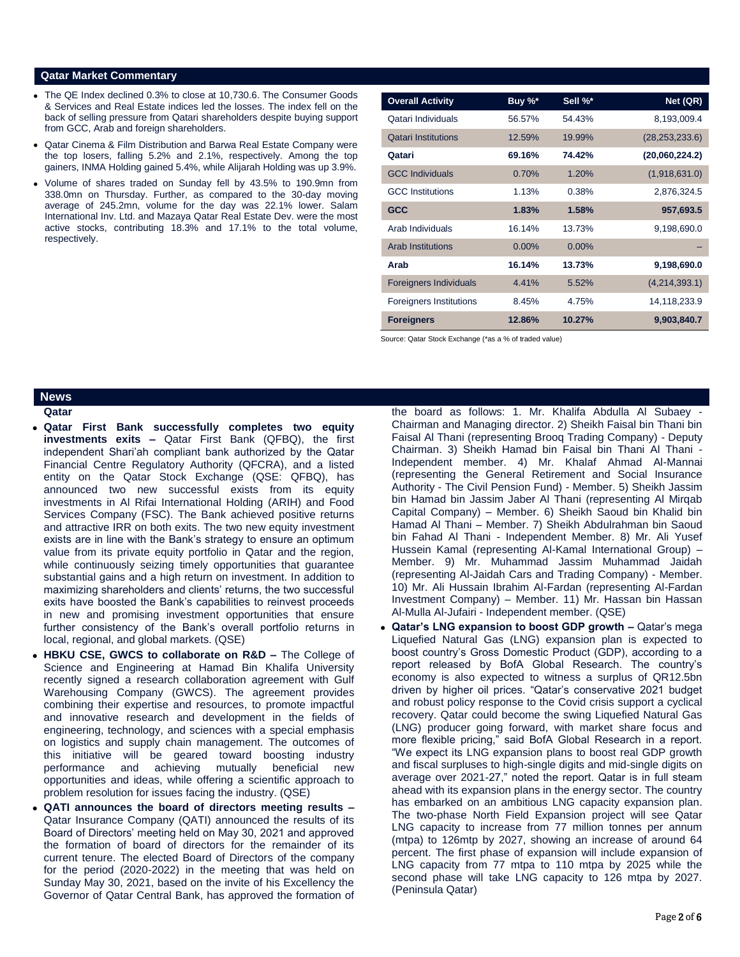### **Qatar Market Commentary**

- The QE Index declined 0.3% to close at 10,730.6. The Consumer Goods & Services and Real Estate indices led the losses. The index fell on the back of selling pressure from Qatari shareholders despite buying support from GCC, Arab and foreign shareholders.
- Qatar Cinema & Film Distribution and Barwa Real Estate Company were the top losers, falling 5.2% and 2.1%, respectively. Among the top gainers, INMA Holding gained 5.4%, while Alijarah Holding was up 3.9%.
- Volume of shares traded on Sunday fell by 43.5% to 190.9mn from 338.0mn on Thursday. Further, as compared to the 30-day moving average of 245.2mn, volume for the day was 22.1% lower. Salam International Inv. Ltd. and Mazaya Qatar Real Estate Dev. were the most active stocks, contributing 18.3% and 17.1% to the total volume, respectively.

| <b>Overall Activity</b>        | Buy %*   | Sell %*  | Net (QR)         |
|--------------------------------|----------|----------|------------------|
| Qatari Individuals             | 56.57%   | 54.43%   | 8,193,009.4      |
| <b>Qatari Institutions</b>     | 12.59%   | 19.99%   | (28, 253, 233.6) |
| Qatari                         | 69.16%   | 74.42%   | (20,060,224.2)   |
| <b>GCC Individuals</b>         | 0.70%    | 1.20%    | (1,918,631.0)    |
| <b>GCC</b> Institutions        | 1.13%    | 0.38%    | 2,876,324.5      |
| <b>GCC</b>                     | 1.83%    | 1.58%    | 957,693.5        |
| Arab Individuals               | 16.14%   | 13.73%   | 9,198,690.0      |
| <b>Arab Institutions</b>       | $0.00\%$ | $0.00\%$ |                  |
| Arab                           | 16.14%   | 13.73%   | 9,198,690.0      |
| <b>Foreigners Individuals</b>  | 4.41%    | 5.52%    | (4,214,393.1)    |
| <b>Foreigners Institutions</b> | 8.45%    | 4.75%    | 14,118,233.9     |
| <b>Foreigners</b>              | 12.86%   | 10.27%   | 9,903,840.7      |

Source: Qatar Stock Exchange (\*as a % of traded value)

### **News**

**Qatar** 

- **Qatar First Bank successfully completes two equity investments exits –** Qatar First Bank (QFBQ), the first independent Shari'ah compliant bank authorized by the Qatar Financial Centre Regulatory Authority (QFCRA), and a listed entity on the Qatar Stock Exchange (QSE: QFBQ), has announced two new successful exists from its equity investments in Al Rifai International Holding (ARIH) and Food Services Company (FSC). The Bank achieved positive returns and attractive IRR on both exits. The two new equity investment exists are in line with the Bank's strategy to ensure an optimum value from its private equity portfolio in Qatar and the region, while continuously seizing timely opportunities that guarantee substantial gains and a high return on investment. In addition to maximizing shareholders and clients' returns, the two successful exits have boosted the Bank's capabilities to reinvest proceeds in new and promising investment opportunities that ensure further consistency of the Bank's overall portfolio returns in local, regional, and global markets. (QSE)
- **HBKU CSE, GWCS to collaborate on R&D –** The College of Science and Engineering at Hamad Bin Khalifa University recently signed a research collaboration agreement with Gulf Warehousing Company (GWCS). The agreement provides combining their expertise and resources, to promote impactful and innovative research and development in the fields of engineering, technology, and sciences with a special emphasis on logistics and supply chain management. The outcomes of this initiative will be geared toward boosting industry performance and achieving mutually beneficial new opportunities and ideas, while offering a scientific approach to problem resolution for issues facing the industry. (QSE)
- **QATI announces the board of directors meeting results –** Qatar Insurance Company (QATI) announced the results of its Board of Directors' meeting held on May 30, 2021 and approved the formation of board of directors for the remainder of its current tenure. The elected Board of Directors of the company for the period (2020-2022) in the meeting that was held on Sunday May 30, 2021, based on the invite of his Excellency the Governor of Qatar Central Bank, has approved the formation of

the board as follows: 1. Mr. Khalifa Abdulla Al Subaey -Chairman and Managing director. 2) Sheikh Faisal bin Thani bin Faisal Al Thani (representing Brooq Trading Company) - Deputy Chairman. 3) Sheikh Hamad bin Faisal bin Thani Al Thani - Independent member. 4) Mr. Khalaf Ahmad Al-Mannai (representing the General Retirement and Social Insurance Authority - The Civil Pension Fund) - Member. 5) Sheikh Jassim bin Hamad bin Jassim Jaber Al Thani (representing Al Mirqab Capital Company) – Member. 6) Sheikh Saoud bin Khalid bin Hamad Al Thani – Member. 7) Sheikh Abdulrahman bin Saoud bin Fahad Al Thani - Independent Member. 8) Mr. Ali Yusef Hussein Kamal (representing Al-Kamal International Group) – Member. 9) Mr. Muhammad Jassim Muhammad Jaidah (representing Al-Jaidah Cars and Trading Company) - Member. 10) Mr. Ali Hussain Ibrahim Al-Fardan (representing Al-Fardan Investment Company) – Member. 11) Mr. Hassan bin Hassan Al-Mulla Al-Jufairi - Independent member. (QSE)

 **Qatar's LNG expansion to boost GDP growth –** Qatar's mega Liquefied Natural Gas (LNG) expansion plan is expected to boost country's Gross Domestic Product (GDP), according to a report released by BofA Global Research. The country's economy is also expected to witness a surplus of QR12.5bn driven by higher oil prices. "Qatar's conservative 2021 budget and robust policy response to the Covid crisis support a cyclical recovery. Qatar could become the swing Liquefied Natural Gas (LNG) producer going forward, with market share focus and more flexible pricing," said BofA Global Research in a report. "We expect its LNG expansion plans to boost real GDP growth and fiscal surpluses to high-single digits and mid-single digits on average over 2021-27," noted the report. Qatar is in full steam ahead with its expansion plans in the energy sector. The country has embarked on an ambitious LNG capacity expansion plan. The two-phase North Field Expansion project will see Qatar LNG capacity to increase from 77 million tonnes per annum (mtpa) to 126mtp by 2027, showing an increase of around 64 percent. The first phase of expansion will include expansion of LNG capacity from 77 mtpa to 110 mtpa by 2025 while the second phase will take LNG capacity to 126 mtpa by 2027. (Peninsula Qatar)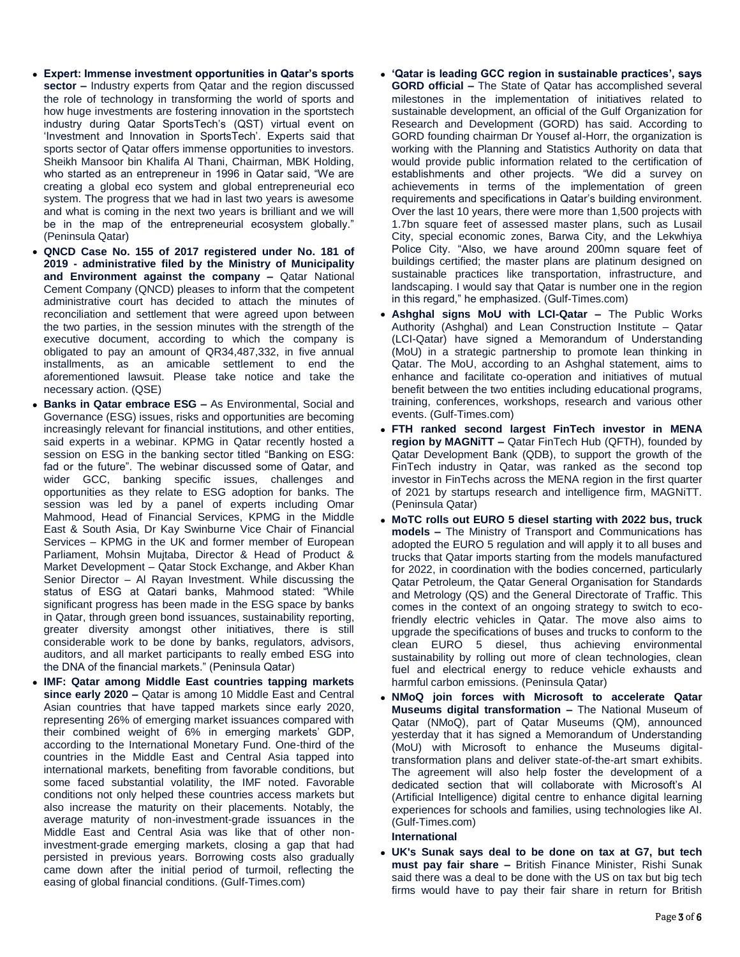- **Expert: Immense investment opportunities in Qatar's sports sector –** Industry experts from Qatar and the region discussed the role of technology in transforming the world of sports and how huge investments are fostering innovation in the sportstech industry during Qatar SportsTech's (QST) virtual event on 'Investment and Innovation in SportsTech'. Experts said that sports sector of Qatar offers immense opportunities to investors. Sheikh Mansoor bin Khalifa Al Thani, Chairman, MBK Holding, who started as an entrepreneur in 1996 in Qatar said, "We are creating a global eco system and global entrepreneurial eco system. The progress that we had in last two years is awesome and what is coming in the next two years is brilliant and we will be in the map of the entrepreneurial ecosystem globally." (Peninsula Qatar)
- **QNCD Case No. 155 of 2017 registered under No. 181 of 2019 - administrative filed by the Ministry of Municipality and Environment against the company –** Qatar National Cement Company (QNCD) pleases to inform that the competent administrative court has decided to attach the minutes of reconciliation and settlement that were agreed upon between the two parties, in the session minutes with the strength of the executive document, according to which the company is obligated to pay an amount of QR34,487,332, in five annual installments, as an amicable settlement to end the aforementioned lawsuit. Please take notice and take the necessary action. (QSE)
- **Banks in Qatar embrace ESG –** As Environmental, Social and Governance (ESG) issues, risks and opportunities are becoming increasingly relevant for financial institutions, and other entities, said experts in a webinar. KPMG in Qatar recently hosted a session on ESG in the banking sector titled "Banking on ESG: fad or the future". The webinar discussed some of Qatar, and wider GCC, banking specific issues, challenges and opportunities as they relate to ESG adoption for banks. The session was led by a panel of experts including Omar Mahmood, Head of Financial Services, KPMG in the Middle East & South Asia, Dr Kay Swinburne Vice Chair of Financial Services – KPMG in the UK and former member of European Parliament, Mohsin Mujtaba, Director & Head of Product & Market Development – Qatar Stock Exchange, and Akber Khan Senior Director – Al Rayan Investment. While discussing the status of ESG at Qatari banks, Mahmood stated: "While significant progress has been made in the ESG space by banks in Qatar, through green bond issuances, sustainability reporting, greater diversity amongst other initiatives, there is still considerable work to be done by banks, regulators, advisors, auditors, and all market participants to really embed ESG into the DNA of the financial markets." (Peninsula Qatar)
- **IMF: Qatar among Middle East countries tapping markets since early 2020 –** Qatar is among 10 Middle East and Central Asian countries that have tapped markets since early 2020, representing 26% of emerging market issuances compared with their combined weight of 6% in emerging markets' GDP, according to the International Monetary Fund. One-third of the countries in the Middle East and Central Asia tapped into international markets, benefiting from favorable conditions, but some faced substantial volatility, the IMF noted. Favorable conditions not only helped these countries access markets but also increase the maturity on their placements. Notably, the average maturity of non-investment-grade issuances in the Middle East and Central Asia was like that of other noninvestment-grade emerging markets, closing a gap that had persisted in previous years. Borrowing costs also gradually came down after the initial period of turmoil, reflecting the easing of global financial conditions. (Gulf-Times.com)
- **'Qatar is leading GCC region in sustainable practices', says GORD official –** The State of Qatar has accomplished several milestones in the implementation of initiatives related to sustainable development, an official of the Gulf Organization for Research and Development (GORD) has said. According to GORD founding chairman Dr Yousef al-Horr, the organization is working with the Planning and Statistics Authority on data that would provide public information related to the certification of establishments and other projects. "We did a survey on achievements in terms of the implementation of green requirements and specifications in Qatar's building environment. Over the last 10 years, there were more than 1,500 projects with 1.7bn square feet of assessed master plans, such as Lusail City, special economic zones, Barwa City, and the Lekwhiya Police City. "Also, we have around 200mn square feet of buildings certified; the master plans are platinum designed on sustainable practices like transportation, infrastructure, and landscaping. I would say that Qatar is number one in the region in this regard," he emphasized. (Gulf-Times.com)
- **Ashghal signs MoU with LCI-Qatar –** The Public Works Authority (Ashghal) and Lean Construction Institute – Qatar (LCI-Qatar) have signed a Memorandum of Understanding (MoU) in a strategic partnership to promote lean thinking in Qatar. The MoU, according to an Ashghal statement, aims to enhance and facilitate co-operation and initiatives of mutual benefit between the two entities including educational programs, training, conferences, workshops, research and various other events. (Gulf-Times.com)
- **FTH ranked second largest FinTech investor in MENA region by MAGNiTT –** Qatar FinTech Hub (QFTH), founded by Qatar Development Bank (QDB), to support the growth of the FinTech industry in Qatar, was ranked as the second top investor in FinTechs across the MENA region in the first quarter of 2021 by startups research and intelligence firm, MAGNiTT. (Peninsula Qatar)
- **MoTC rolls out EURO 5 diesel starting with 2022 bus, truck models –** The Ministry of Transport and Communications has adopted the EURO 5 regulation and will apply it to all buses and trucks that Qatar imports starting from the models manufactured for 2022, in coordination with the bodies concerned, particularly Qatar Petroleum, the Qatar General Organisation for Standards and Metrology (QS) and the General Directorate of Traffic. This comes in the context of an ongoing strategy to switch to ecofriendly electric vehicles in Qatar. The move also aims to upgrade the specifications of buses and trucks to conform to the clean EURO 5 diesel, thus achieving environmental sustainability by rolling out more of clean technologies, clean fuel and electrical energy to reduce vehicle exhausts and harmful carbon emissions. (Peninsula Qatar)
- **NMoQ join forces with Microsoft to accelerate Qatar Museums digital transformation –** The National Museum of Qatar (NMoQ), part of Qatar Museums (QM), announced yesterday that it has signed a Memorandum of Understanding (MoU) with Microsoft to enhance the Museums digitaltransformation plans and deliver state-of-the-art smart exhibits. The agreement will also help foster the development of a dedicated section that will collaborate with Microsoft's AI (Artificial Intelligence) digital centre to enhance digital learning experiences for schools and families, using technologies like AI. (Gulf-Times.com)

## **International**

 **UK's Sunak says deal to be done on tax at G7, but tech must pay fair share –** British Finance Minister, Rishi Sunak said there was a deal to be done with the US on tax but big tech firms would have to pay their fair share in return for British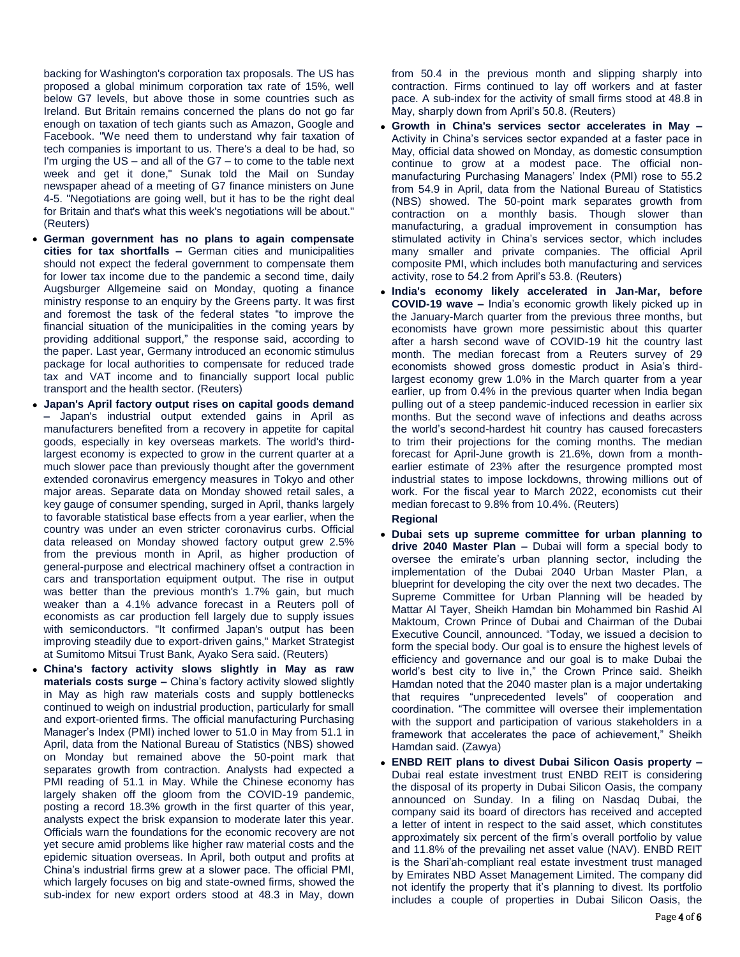backing for Washington's corporation tax proposals. The US has proposed a global minimum corporation tax rate of 15%, well below G7 levels, but above those in some countries such as Ireland. But Britain remains concerned the plans do not go far enough on taxation of tech giants such as Amazon, Google and Facebook. "We need them to understand why fair taxation of tech companies is important to us. There's a deal to be had, so I'm urging the  $US -$  and all of the  $G7 -$  to come to the table next week and get it done," Sunak told the Mail on Sunday newspaper ahead of a meeting of G7 finance ministers on June 4-5. "Negotiations are going well, but it has to be the right deal for Britain and that's what this week's negotiations will be about." (Reuters)

- **German government has no plans to again compensate cities for tax shortfalls –** German cities and municipalities should not expect the federal government to compensate them for lower tax income due to the pandemic a second time, daily Augsburger Allgemeine said on Monday, quoting a finance ministry response to an enquiry by the Greens party. It was first and foremost the task of the federal states "to improve the financial situation of the municipalities in the coming years by providing additional support," the response said, according to the paper. Last year, Germany introduced an economic stimulus package for local authorities to compensate for reduced trade tax and VAT income and to financially support local public transport and the health sector. (Reuters)
- **Japan's April factory output rises on capital goods demand –** Japan's industrial output extended gains in April as manufacturers benefited from a recovery in appetite for capital goods, especially in key overseas markets. The world's thirdlargest economy is expected to grow in the current quarter at a much slower pace than previously thought after the government extended coronavirus emergency measures in Tokyo and other major areas. Separate data on Monday showed retail sales, a key gauge of consumer spending, surged in April, thanks largely to favorable statistical base effects from a year earlier, when the country was under an even stricter coronavirus curbs. Official data released on Monday showed factory output grew 2.5% from the previous month in April, as higher production of general-purpose and electrical machinery offset a contraction in cars and transportation equipment output. The rise in output was better than the previous month's 1.7% gain, but much weaker than a 4.1% advance forecast in a Reuters poll of economists as car production fell largely due to supply issues with semiconductors. "It confirmed Japan's output has been improving steadily due to export-driven gains," Market Strategist at Sumitomo Mitsui Trust Bank, Ayako Sera said. (Reuters)
- **China's factory activity slows slightly in May as raw materials costs surge –** China's factory activity slowed slightly in May as high raw materials costs and supply bottlenecks continued to weigh on industrial production, particularly for small and export-oriented firms. The official manufacturing Purchasing Manager's Index (PMI) inched lower to 51.0 in May from 51.1 in April, data from the National Bureau of Statistics (NBS) showed on Monday but remained above the 50-point mark that separates growth from contraction. Analysts had expected a PMI reading of 51.1 in May. While the Chinese economy has largely shaken off the gloom from the COVID-19 pandemic, posting a record 18.3% growth in the first quarter of this year, analysts expect the brisk expansion to moderate later this year. Officials warn the foundations for the economic recovery are not yet secure amid problems like higher raw material costs and the epidemic situation overseas. In April, both output and profits at China's industrial firms grew at a slower pace. The official PMI, which largely focuses on big and state-owned firms, showed the sub-index for new export orders stood at 48.3 in May, down

from 50.4 in the previous month and slipping sharply into contraction. Firms continued to lay off workers and at faster pace. A sub-index for the activity of small firms stood at 48.8 in May, sharply down from April's 50.8. (Reuters)

- **Growth in China's services sector accelerates in May –** Activity in China's services sector expanded at a faster pace in May, official data showed on Monday, as domestic consumption continue to grow at a modest pace. The official nonmanufacturing Purchasing Managers' Index (PMI) rose to 55.2 from 54.9 in April, data from the National Bureau of Statistics (NBS) showed. The 50-point mark separates growth from contraction on a monthly basis. Though slower than manufacturing, a gradual improvement in consumption has stimulated activity in China's services sector, which includes many smaller and private companies. The official April composite PMI, which includes both manufacturing and services activity, rose to 54.2 from April's 53.8. (Reuters)
- **India's economy likely accelerated in Jan-Mar, before COVID-19 wave –** India's economic growth likely picked up in the January-March quarter from the previous three months, but economists have grown more pessimistic about this quarter after a harsh second wave of COVID-19 hit the country last month. The median forecast from a Reuters survey of 29 economists showed gross domestic product in Asia's thirdlargest economy grew 1.0% in the March quarter from a year earlier, up from 0.4% in the previous quarter when India began pulling out of a steep pandemic-induced recession in earlier six months. But the second wave of infections and deaths across the world's second-hardest hit country has caused forecasters to trim their projections for the coming months. The median forecast for April-June growth is 21.6%, down from a monthearlier estimate of 23% after the resurgence prompted most industrial states to impose lockdowns, throwing millions out of work. For the fiscal year to March 2022, economists cut their median forecast to 9.8% from 10.4%. (Reuters)

# **Regional**

- **Dubai sets up supreme committee for urban planning to drive 2040 Master Plan –** Dubai will form a special body to oversee the emirate's urban planning sector, including the implementation of the Dubai 2040 Urban Master Plan, a blueprint for developing the city over the next two decades. The Supreme Committee for Urban Planning will be headed by Mattar Al Tayer, Sheikh Hamdan bin Mohammed bin Rashid Al Maktoum, Crown Prince of Dubai and Chairman of the Dubai Executive Council, announced. "Today, we issued a decision to form the special body. Our goal is to ensure the highest levels of efficiency and governance and our goal is to make Dubai the world's best city to live in," the Crown Prince said. Sheikh Hamdan noted that the 2040 master plan is a major undertaking that requires "unprecedented levels" of cooperation and coordination. "The committee will oversee their implementation with the support and participation of various stakeholders in a framework that accelerates the pace of achievement," Sheikh Hamdan said. (Zawya)
- **ENBD REIT plans to divest Dubai Silicon Oasis property –** Dubai real estate investment trust ENBD REIT is considering the disposal of its property in Dubai Silicon Oasis, the company announced on Sunday. In a filing on Nasdaq Dubai, the company said its board of directors has received and accepted a letter of intent in respect to the said asset, which constitutes approximately six percent of the firm's overall portfolio by value and 11.8% of the prevailing net asset value (NAV). ENBD REIT is the Shari'ah-compliant real estate investment trust managed by Emirates NBD Asset Management Limited. The company did not identify the property that it's planning to divest. Its portfolio includes a couple of properties in Dubai Silicon Oasis, the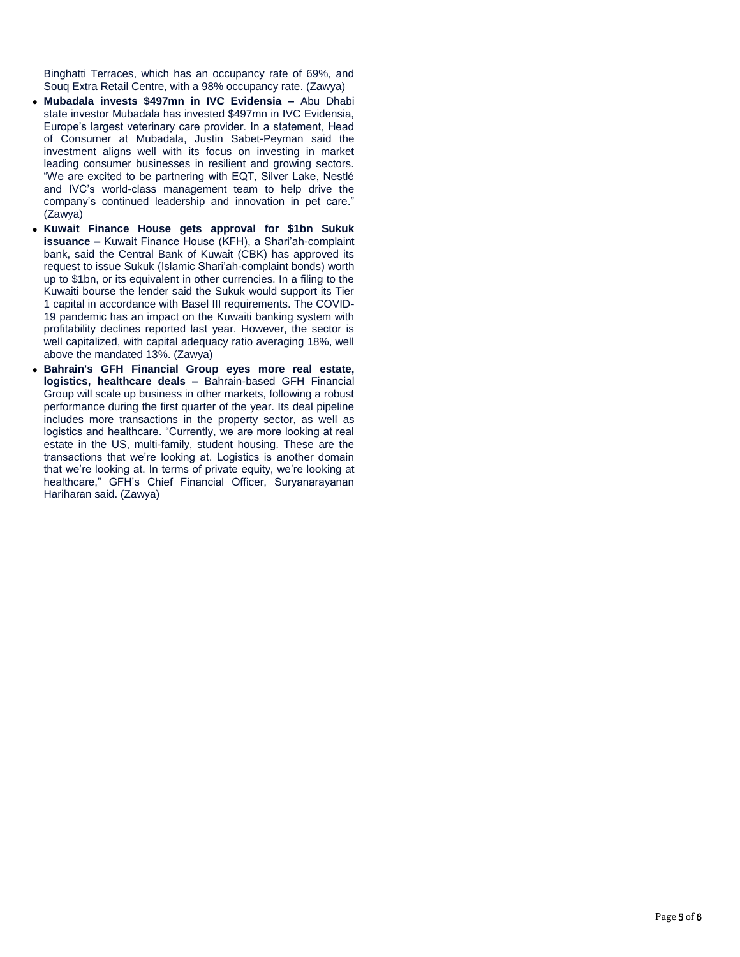Binghatti Terraces, which has an occupancy rate of 69%, and Souq Extra Retail Centre, with a 98% occupancy rate. (Zawya)

- **Mubadala invests \$497mn in IVC Evidensia –** Abu Dhabi state investor Mubadala has invested \$497mn in IVC Evidensia, Europe's largest veterinary care provider. In a statement, Head of Consumer at Mubadala, Justin Sabet-Peyman said the investment aligns well with its focus on investing in market leading consumer businesses in resilient and growing sectors. "We are excited to be partnering with EQT, Silver Lake, Nestlé and IVC's world-class management team to help drive the company's continued leadership and innovation in pet care." (Zawya)
- **Kuwait Finance House gets approval for \$1bn Sukuk issuance –** Kuwait Finance House (KFH), a Shari'ah-complaint bank, said the Central Bank of Kuwait (CBK) has approved its request to issue Sukuk (Islamic Shari'ah-complaint bonds) worth up to \$1bn, or its equivalent in other currencies. In a filing to the Kuwaiti bourse the lender said the Sukuk would support its Tier 1 capital in accordance with Basel III requirements. The COVID-19 pandemic has an impact on the Kuwaiti banking system with profitability declines reported last year. However, the sector is well capitalized, with capital adequacy ratio averaging 18%, well above the mandated 13%. (Zawya)
- **Bahrain's GFH Financial Group eyes more real estate, logistics, healthcare deals –** Bahrain-based GFH Financial Group will scale up business in other markets, following a robust performance during the first quarter of the year. Its deal pipeline includes more transactions in the property sector, as well as logistics and healthcare. "Currently, we are more looking at real estate in the US, multi-family, student housing. These are the transactions that we're looking at. Logistics is another domain that we're looking at. In terms of private equity, we're looking at healthcare," GFH's Chief Financial Officer, Suryanarayanan Hariharan said. (Zawya)